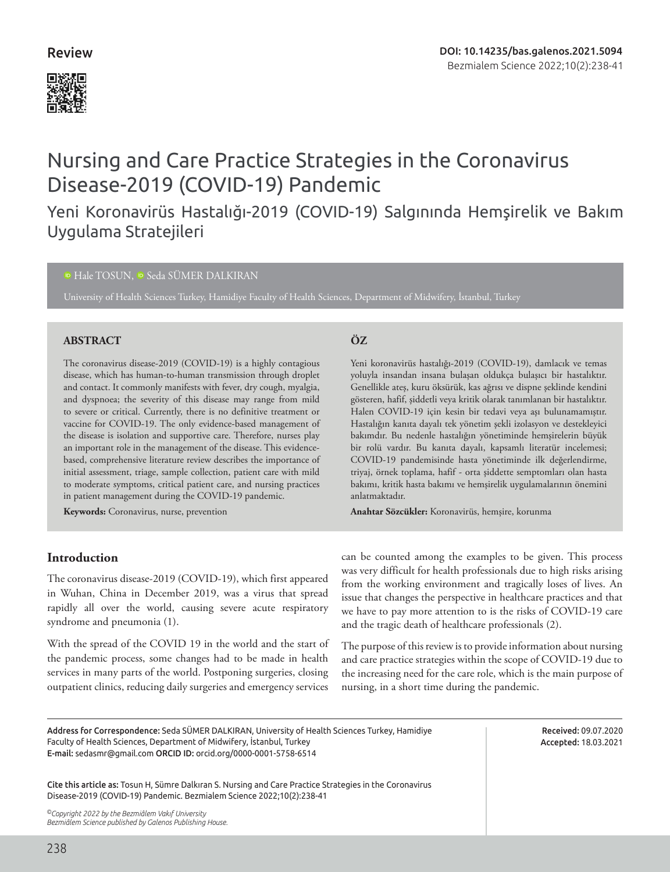### Review



# Nursing and Care Practice Strategies in the Coronavirus Disease-2019 (COVID-19) Pandemic

## Yeni Koronavirüs Hastalığı-2019 (COVID-19) Salgınında Hemşirelik ve Bakım Uygulama Stratejileri

#### <sup>10</sup>Hale TOSUN, <sup>10</sup> Seda SÜMER DALKIRAN

University of Health Sciences Turkey, Hamidiye Faculty of Health Sciences, Department of Midwifery, İstanbul, Turkey

#### **ABSTRACT ÖZ**

The coronavirus disease-2019 (COVID-19) is a highly contagious disease, which has human-to-human transmission through droplet and contact. It commonly manifests with fever, dry cough, myalgia, and dyspnoea; the severity of this disease may range from mild to severe or critical. Currently, there is no definitive treatment or vaccine for COVID-19. The only evidence-based management of the disease is isolation and supportive care. Therefore, nurses play an important role in the management of the disease. This evidencebased, comprehensive literature review describes the importance of initial assessment, triage, sample collection, patient care with mild to moderate symptoms, critical patient care, and nursing practices in patient management during the COVID-19 pandemic.

**Keywords:** Coronavirus, nurse, prevention

Yeni koronavirüs hastalığı-2019 (COVID-19), damlacık ve temas yoluyla insandan insana bulaşan oldukça bulaşıcı bir hastalıktır. Genellikle ateş, kuru öksürük, kas ağrısı ve dispne şeklinde kendini gösteren, hafif, şiddetli veya kritik olarak tanımlanan bir hastalıktır. Halen COVID-19 için kesin bir tedavi veya aşı bulunamamıştır. Hastalığın kanıta dayalı tek yönetim şekli izolasyon ve destekleyici bakımdır. Bu nedenle hastalığın yönetiminde hemşirelerin büyük bir rolü vardır. Bu kanıta dayalı, kapsamlı literatür incelemesi; COVID-19 pandemisinde hasta yönetiminde ilk değerlendirme, triyaj, örnek toplama, hafif - orta şiddette semptomları olan hasta bakımı, kritik hasta bakımı ve hemşirelik uygulamalarının önemini anlatmaktadır.

**Anahtar Sözcükler:** Koronavirüs, hemşire, korunma

#### **Introduction**

The coronavirus disease-2019 (COVID-19), which first appeared in Wuhan, China in December 2019, was a virus that spread rapidly all over the world, causing severe acute respiratory syndrome and pneumonia (1).

With the spread of the COVID 19 in the world and the start of the pandemic process, some changes had to be made in health services in many parts of the world. Postponing surgeries, closing outpatient clinics, reducing daily surgeries and emergency services can be counted among the examples to be given. This process was very difficult for health professionals due to high risks arising from the working environment and tragically loses of lives. An issue that changes the perspective in healthcare practices and that we have to pay more attention to is the risks of COVID-19 care and the tragic death of healthcare professionals (2).

The purpose of this review is to provide information about nursing and care practice strategies within the scope of COVID-19 due to the increasing need for the care role, which is the main purpose of nursing, in a short time during the pandemic.

Address for Correspondence: Seda SÜMER DALKIRAN, University of Health Sciences Turkey, Hamidiye Faculty of Health Sciences, Department of Midwifery, İstanbul, Turkey E-mail: sedasmr@gmail.com ORCID ID: orcid.org/0000-0001-5758-6514

Received: 09.07.2020 Accepted: 18.03.2021

Cite this article as: Tosun H, Sümre Dalkıran S. Nursing and Care Practice Strategies in the Coronavirus Disease-2019 (COVID-19) Pandemic. Bezmialem Science 2022;10(2):238-41

*©Copyright 2022 by the Bezmiâlem Vakıf University Bezmiâlem Science published by Galenos Publishing House.*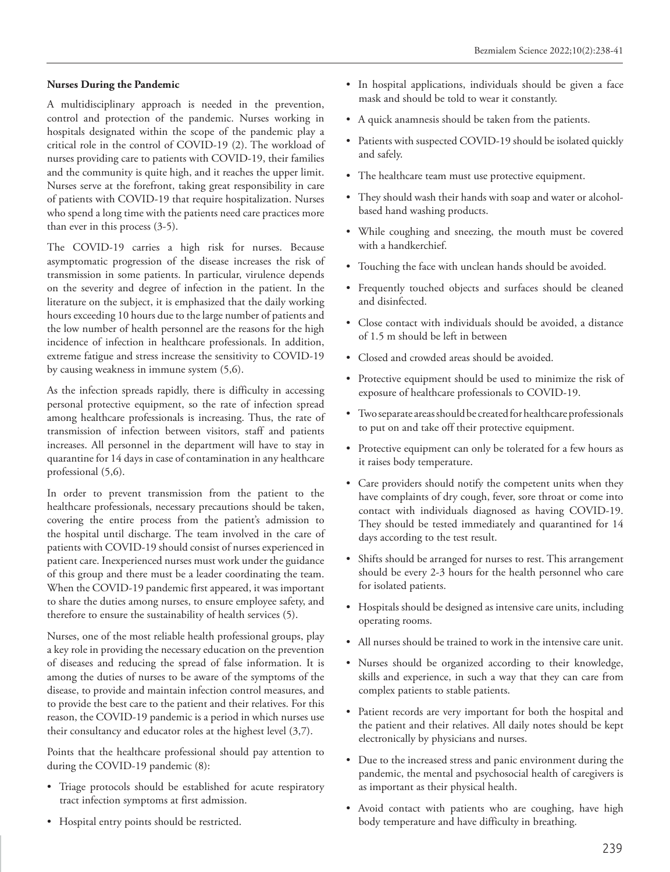#### **Nurses During the Pandemic**

A multidisciplinary approach is needed in the prevention, control and protection of the pandemic. Nurses working in hospitals designated within the scope of the pandemic play a critical role in the control of COVID-19 (2). The workload of nurses providing care to patients with COVID-19, their families and the community is quite high, and it reaches the upper limit. Nurses serve at the forefront, taking great responsibility in care of patients with COVID-19 that require hospitalization. Nurses who spend a long time with the patients need care practices more than ever in this process (3-5).

The COVID-19 carries a high risk for nurses. Because asymptomatic progression of the disease increases the risk of transmission in some patients. In particular, virulence depends on the severity and degree of infection in the patient. In the literature on the subject, it is emphasized that the daily working hours exceeding 10 hours due to the large number of patients and the low number of health personnel are the reasons for the high incidence of infection in healthcare professionals. In addition, extreme fatigue and stress increase the sensitivity to COVID-19 by causing weakness in immune system (5,6).

As the infection spreads rapidly, there is difficulty in accessing personal protective equipment, so the rate of infection spread among healthcare professionals is increasing. Thus, the rate of transmission of infection between visitors, staff and patients increases. All personnel in the department will have to stay in quarantine for 14 days in case of contamination in any healthcare professional (5,6).

In order to prevent transmission from the patient to the healthcare professionals, necessary precautions should be taken, covering the entire process from the patient's admission to the hospital until discharge. The team involved in the care of patients with COVID-19 should consist of nurses experienced in patient care. Inexperienced nurses must work under the guidance of this group and there must be a leader coordinating the team. When the COVID-19 pandemic first appeared, it was important to share the duties among nurses, to ensure employee safety, and therefore to ensure the sustainability of health services (5).

Nurses, one of the most reliable health professional groups, play a key role in providing the necessary education on the prevention of diseases and reducing the spread of false information. It is among the duties of nurses to be aware of the symptoms of the disease, to provide and maintain infection control measures, and to provide the best care to the patient and their relatives. For this reason, the COVID-19 pandemic is a period in which nurses use their consultancy and educator roles at the highest level (3,7).

Points that the healthcare professional should pay attention to during the COVID-19 pandemic (8):

- Triage protocols should be established for acute respiratory tract infection symptoms at first admission.
- Hospital entry points should be restricted.
- In hospital applications, individuals should be given a face mask and should be told to wear it constantly.
- A quick anamnesis should be taken from the patients.
- Patients with suspected COVID-19 should be isolated quickly and safely.
- The healthcare team must use protective equipment.
- They should wash their hands with soap and water or alcoholbased hand washing products.
- While coughing and sneezing, the mouth must be covered with a handkerchief.
- Touching the face with unclean hands should be avoided.
- Frequently touched objects and surfaces should be cleaned and disinfected.
- Close contact with individuals should be avoided, a distance of 1.5 m should be left in between
- Closed and crowded areas should be avoided.
- Protective equipment should be used to minimize the risk of exposure of healthcare professionals to COVID-19.
- Two separate areas should be created for healthcare professionals to put on and take off their protective equipment.
- Protective equipment can only be tolerated for a few hours as it raises body temperature.
- Care providers should notify the competent units when they have complaints of dry cough, fever, sore throat or come into contact with individuals diagnosed as having COVID-19. They should be tested immediately and quarantined for 14 days according to the test result.
- Shifts should be arranged for nurses to rest. This arrangement should be every 2-3 hours for the health personnel who care for isolated patients.
- Hospitals should be designed as intensive care units, including operating rooms.
- All nurses should be trained to work in the intensive care unit.
- Nurses should be organized according to their knowledge, skills and experience, in such a way that they can care from complex patients to stable patients.
- Patient records are very important for both the hospital and the patient and their relatives. All daily notes should be kept electronically by physicians and nurses.
- Due to the increased stress and panic environment during the pandemic, the mental and psychosocial health of caregivers is as important as their physical health.
- Avoid contact with patients who are coughing, have high body temperature and have difficulty in breathing.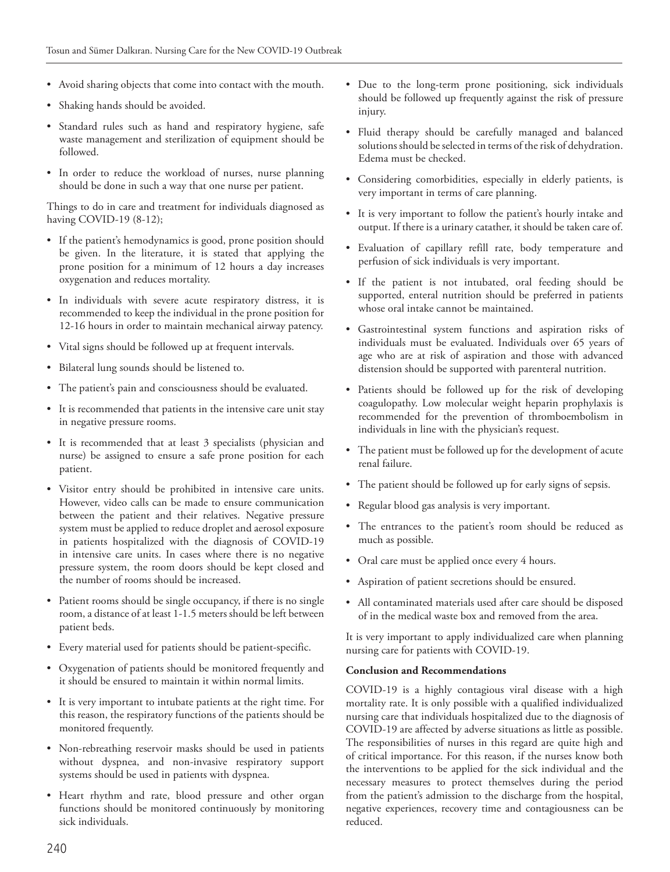- Avoid sharing objects that come into contact with the mouth.
- Shaking hands should be avoided.
- Standard rules such as hand and respiratory hygiene, safe waste management and sterilization of equipment should be followed.
- In order to reduce the workload of nurses, nurse planning should be done in such a way that one nurse per patient.

Things to do in care and treatment for individuals diagnosed as having COVID-19 (8-12);

- If the patient's hemodynamics is good, prone position should be given. In the literature, it is stated that applying the prone position for a minimum of 12 hours a day increases oxygenation and reduces mortality.
- In individuals with severe acute respiratory distress, it is recommended to keep the individual in the prone position for 12-16 hours in order to maintain mechanical airway patency.
- Vital signs should be followed up at frequent intervals.
- Bilateral lung sounds should be listened to.
- The patient's pain and consciousness should be evaluated.
- It is recommended that patients in the intensive care unit stay in negative pressure rooms.
- It is recommended that at least 3 specialists (physician and nurse) be assigned to ensure a safe prone position for each patient.
- Visitor entry should be prohibited in intensive care units. However, video calls can be made to ensure communication between the patient and their relatives. Negative pressure system must be applied to reduce droplet and aerosol exposure in patients hospitalized with the diagnosis of COVID-19 in intensive care units. In cases where there is no negative pressure system, the room doors should be kept closed and the number of rooms should be increased.
- Patient rooms should be single occupancy, if there is no single room, a distance of at least 1-1.5 meters should be left between patient beds.
- Every material used for patients should be patient-specific.
- Oxygenation of patients should be monitored frequently and it should be ensured to maintain it within normal limits.
- It is very important to intubate patients at the right time. For this reason, the respiratory functions of the patients should be monitored frequently.
- Non-rebreathing reservoir masks should be used in patients without dyspnea, and non-invasive respiratory support systems should be used in patients with dyspnea.
- Heart rhythm and rate, blood pressure and other organ functions should be monitored continuously by monitoring sick individuals.
- Due to the long-term prone positioning, sick individuals should be followed up frequently against the risk of pressure injury.
- Fluid therapy should be carefully managed and balanced solutions should be selected in terms of the risk of dehydration. Edema must be checked.
- Considering comorbidities, especially in elderly patients, is very important in terms of care planning.
- It is very important to follow the patient's hourly intake and output. If there is a urinary catather, it should be taken care of.
- Evaluation of capillary refill rate, body temperature and perfusion of sick individuals is very important.
- If the patient is not intubated, oral feeding should be supported, enteral nutrition should be preferred in patients whose oral intake cannot be maintained.
- Gastrointestinal system functions and aspiration risks of individuals must be evaluated. Individuals over 65 years of age who are at risk of aspiration and those with advanced distension should be supported with parenteral nutrition.
- Patients should be followed up for the risk of developing coagulopathy. Low molecular weight heparin prophylaxis is recommended for the prevention of thromboembolism in individuals in line with the physician's request.
- The patient must be followed up for the development of acute renal failure.
- The patient should be followed up for early signs of sepsis.
- Regular blood gas analysis is very important.
- The entrances to the patient's room should be reduced as much as possible.
- Oral care must be applied once every 4 hours.
- Aspiration of patient secretions should be ensured.
- All contaminated materials used after care should be disposed of in the medical waste box and removed from the area.

It is very important to apply individualized care when planning nursing care for patients with COVID-19.

#### **Conclusion and Recommendations**

COVID-19 is a highly contagious viral disease with a high mortality rate. It is only possible with a qualified individualized nursing care that individuals hospitalized due to the diagnosis of COVID-19 are affected by adverse situations as little as possible. The responsibilities of nurses in this regard are quite high and of critical importance. For this reason, if the nurses know both the interventions to be applied for the sick individual and the necessary measures to protect themselves during the period from the patient's admission to the discharge from the hospital, negative experiences, recovery time and contagiousness can be reduced.